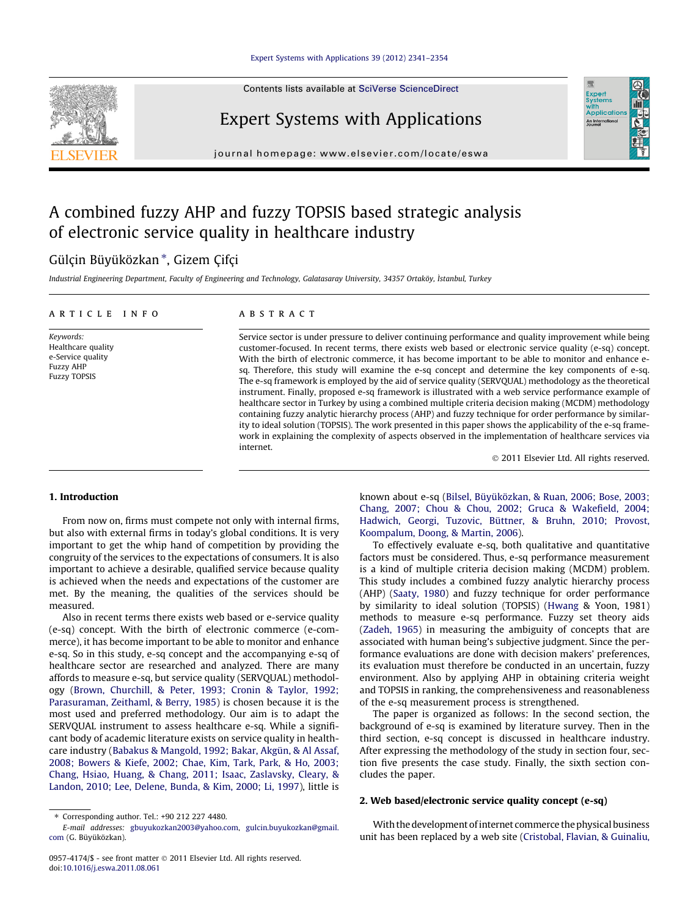#### [Expert Systems with Applications 39 \(2012\) 2341–2354](http://dx.doi.org/10.1016/j.eswa.2011.08.061)

Contents lists available at [SciVerse ScienceDirect](http://www.sciencedirect.com/science/journal/09574174)

## Expert Systems with Applications

journal homepage: [www.elsevier.com/locate/eswa](http://www.elsevier.com/locate/eswa)

## A combined fuzzy AHP and fuzzy TOPSIS based strategic analysis of electronic service quality in healthcare industry

### Gülçin Büyüközkan \*, Gizem Çifçi

Industrial Engineering Department, Faculty of Engineering and Technology, Galatasaray University, 34357 Ortaköy, İstanbul, Turkey

#### article info

Keywords: Healthcare quality e-Service quality Fuzzy AHP Fuzzy TOPSIS

#### **ABSTRACT**

Service sector is under pressure to deliver continuing performance and quality improvement while being customer-focused. In recent terms, there exists web based or electronic service quality (e-sq) concept. With the birth of electronic commerce, it has become important to be able to monitor and enhance esq. Therefore, this study will examine the e-sq concept and determine the key components of e-sq. The e-sq framework is employed by the aid of service quality (SERVQUAL) methodology as the theoretical instrument. Finally, proposed e-sq framework is illustrated with a web service performance example of healthcare sector in Turkey by using a combined multiple criteria decision making (MCDM) methodology containing fuzzy analytic hierarchy process (AHP) and fuzzy technique for order performance by similarity to ideal solution (TOPSIS). The work presented in this paper shows the applicability of the e-sq framework in explaining the complexity of aspects observed in the implementation of healthcare services via internet.

- 2011 Elsevier Ltd. All rights reserved.

Expert<br>Syster **Applicatio** An Interna

#### 1. Introduction

From now on, firms must compete not only with internal firms, but also with external firms in today's global conditions. It is very important to get the whip hand of competition by providing the congruity of the services to the expectations of consumers. It is also important to achieve a desirable, qualified service because quality is achieved when the needs and expectations of the customer are met. By the meaning, the qualities of the services should be measured.

Also in recent terms there exists web based or e-service quality (e-sq) concept. With the birth of electronic commerce (e-commerce), it has become important to be able to monitor and enhance e-sq. So in this study, e-sq concept and the accompanying e-sq of healthcare sector are researched and analyzed. There are many affords to measure e-sq, but service quality (SERVQUAL) methodology [\(Brown, Churchill, & Peter, 1993; Cronin & Taylor, 1992;](#page--1-0) [Parasuraman, Zeithaml, & Berry, 1985](#page--1-0)) is chosen because it is the most used and preferred methodology. Our aim is to adapt the SERVQUAL instrument to assess healthcare e-sq. While a significant body of academic literature exists on service quality in healthcare industry ([Babakus & Mangold, 1992; Bakar, Akgün, & Al Assaf,](#page--1-0) [2008; Bowers & Kiefe, 2002; Chae, Kim, Tark, Park, & Ho, 2003;](#page--1-0) [Chang, Hsiao, Huang, & Chang, 2011; Isaac, Zaslavsky, Cleary, &](#page--1-0) [Landon, 2010; Lee, Delene, Bunda, & Kim, 2000; Li, 1997](#page--1-0)), little is

known about e-sq [\(Bilsel, Büyüközkan, & Ruan, 2006; Bose, 2003;](#page--1-0) [Chang, 2007; Chou & Chou, 2002; Gruca & Wakefield, 2004;](#page--1-0) [Hadwich, Georgi, Tuzovic, Büttner, & Bruhn, 2010; Provost,](#page--1-0) [Koompalum, Doong, & Martin, 2006\)](#page--1-0).

To effectively evaluate e-sq, both qualitative and quantitative factors must be considered. Thus, e-sq performance measurement is a kind of multiple criteria decision making (MCDM) problem. This study includes a combined fuzzy analytic hierarchy process (AHP) ([Saaty, 1980\)](#page--1-0) and fuzzy technique for order performance by similarity to ideal solution (TOPSIS) [\(Hwang](#page--1-0) & Yoon, 1981) methods to measure e-sq performance. Fuzzy set theory aids ([Zadeh, 1965](#page--1-0)) in measuring the ambiguity of concepts that are associated with human being's subjective judgment. Since the performance evaluations are done with decision makers' preferences, its evaluation must therefore be conducted in an uncertain, fuzzy environment. Also by applying AHP in obtaining criteria weight and TOPSIS in ranking, the comprehensiveness and reasonableness of the e-sq measurement process is strengthened.

The paper is organized as follows: In the second section, the background of e-sq is examined by literature survey. Then in the third section, e-sq concept is discussed in healthcare industry. After expressing the methodology of the study in section four, section five presents the case study. Finally, the sixth section concludes the paper.

#### 2. Web based/electronic service quality concept (e-sq)

With the development of internet commerce the physical business unit has been replaced by a web site [\(Cristobal, Flavian, & Guinaliu,](#page--1-0)



<sup>⇑</sup> Corresponding author. Tel.: +90 212 227 4480.

E-mail addresses: [gbuyukozkan2003@yahoo.com](mailto:gbuyukozkan2003@yahoo.com), [gulcin.buyukozkan@gmail.](mailto:gulcin.buyukozkan@gmail.com) [com](mailto:gulcin.buyukozkan@gmail.com) (G. Büyüközkan).

<sup>0957-4174/\$ -</sup> see front matter © 2011 Elsevier Ltd. All rights reserved. doi[:10.1016/j.eswa.2011.08.061](http://dx.doi.org/10.1016/j.eswa.2011.08.061)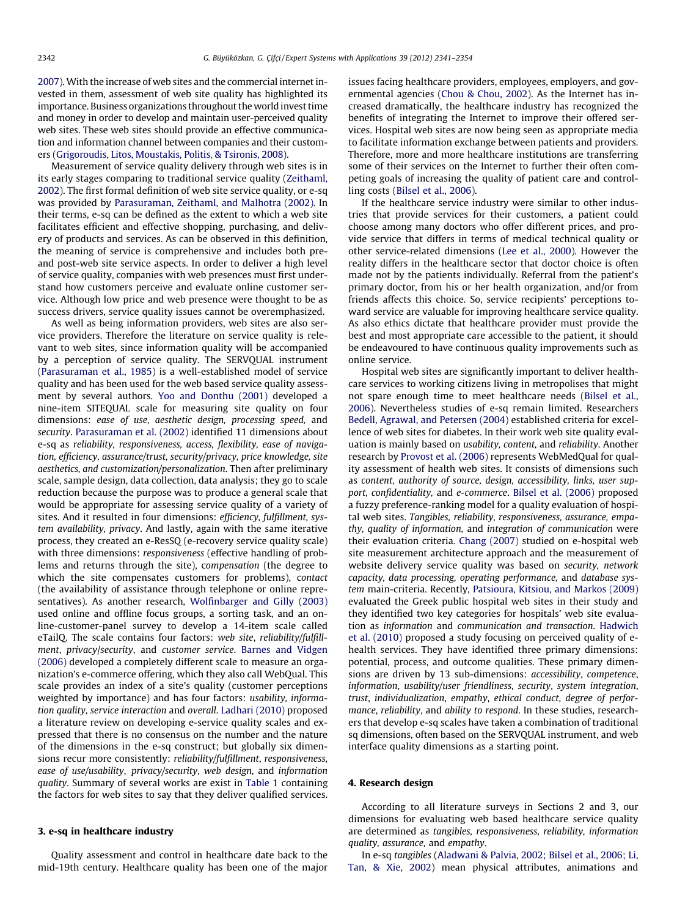[2007](#page--1-0)). With the increase of web sites and the commercial internet invested in them, assessment of web site quality has highlighted its importance. Business organizations throughout the world invest time and money in order to develop and maintain user-perceived quality web sites. These web sites should provide an effective communication and information channel between companies and their customers ([Grigoroudis, Litos, Moustakis, Politis, & Tsironis, 2008](#page--1-0)).

Measurement of service quality delivery through web sites is in its early stages comparing to traditional service quality [\(Zeithaml,](#page--1-0) [2002\)](#page--1-0). The first formal definition of web site service quality, or e-sq was provided by [Parasuraman, Zeithaml, and Malhotra \(2002\)](#page--1-0). In their terms, e-sq can be defined as the extent to which a web site facilitates efficient and effective shopping, purchasing, and delivery of products and services. As can be observed in this definition, the meaning of service is comprehensive and includes both preand post-web site service aspects. In order to deliver a high level of service quality, companies with web presences must first understand how customers perceive and evaluate online customer service. Although low price and web presence were thought to be as success drivers, service quality issues cannot be overemphasized.

As well as being information providers, web sites are also service providers. Therefore the literature on service quality is relevant to web sites, since information quality will be accompanied by a perception of service quality. The SERVQUAL instrument ([Parasuraman et al., 1985\)](#page--1-0) is a well-established model of service quality and has been used for the web based service quality assessment by several authors. [Yoo and Donthu \(2001\)](#page--1-0) developed a nine-item SITEQUAL scale for measuring site quality on four dimensions: ease of use, aesthetic design, processing speed, and security. [Parasuraman et al. \(2002\)](#page--1-0) identified 11 dimensions about e-sq as reliability, responsiveness, access, flexibility, ease of navigation, efficiency, assurance/trust, security/privacy, price knowledge, site aesthetics, and customization/personalization. Then after preliminary scale, sample design, data collection, data analysis; they go to scale reduction because the purpose was to produce a general scale that would be appropriate for assessing service quality of a variety of sites. And it resulted in four dimensions: efficiency, fulfillment, system availability, privacy. And lastly, again with the same iterative process, they created an e-ResSQ (e-recovery service quality scale) with three dimensions: responsiveness (effective handling of problems and returns through the site), compensation (the degree to which the site compensates customers for problems), contact (the availability of assistance through telephone or online representatives). As another research, [Wolfinbarger and Gilly \(2003\)](#page--1-0) used online and offline focus groups, a sorting task, and an online-customer-panel survey to develop a 14-item scale called eTailQ. The scale contains four factors: web site, reliability/fulfillment, privacy/security, and customer service. [Barnes and Vidgen](#page--1-0) [\(2006\)](#page--1-0) developed a completely different scale to measure an organization's e-commerce offering, which they also call WebQual. This scale provides an index of a site's quality (customer perceptions weighted by importance) and has four factors: usability, information quality, service interaction and overall. [Ladhari \(2010\)](#page--1-0) proposed a literature review on developing e-service quality scales and expressed that there is no consensus on the number and the nature of the dimensions in the e-sq construct; but globally six dimensions recur more consistently: reliability/fulfillment, responsiveness, ease of use/usability, privacy/security, web design, and information quality. Summary of several works are exist in [Table 1](#page--1-0) containing the factors for web sites to say that they deliver qualified services.

#### 3. e-sq in healthcare industry

Quality assessment and control in healthcare date back to the mid-19th century. Healthcare quality has been one of the major issues facing healthcare providers, employees, employers, and governmental agencies [\(Chou & Chou, 2002\)](#page--1-0). As the Internet has increased dramatically, the healthcare industry has recognized the benefits of integrating the Internet to improve their offered services. Hospital web sites are now being seen as appropriate media to facilitate information exchange between patients and providers. Therefore, more and more healthcare institutions are transferring some of their services on the Internet to further their often competing goals of increasing the quality of patient care and controlling costs [\(Bilsel et al., 2006](#page--1-0)).

If the healthcare service industry were similar to other industries that provide services for their customers, a patient could choose among many doctors who offer different prices, and provide service that differs in terms of medical technical quality or other service-related dimensions ([Lee et al., 2000\)](#page--1-0). However the reality differs in the healthcare sector that doctor choice is often made not by the patients individually. Referral from the patient's primary doctor, from his or her health organization, and/or from friends affects this choice. So, service recipients' perceptions toward service are valuable for improving healthcare service quality. As also ethics dictate that healthcare provider must provide the best and most appropriate care accessible to the patient, it should be endeavoured to have continuous quality improvements such as online service.

Hospital web sites are significantly important to deliver healthcare services to working citizens living in metropolises that might not spare enough time to meet healthcare needs ([Bilsel et al.,](#page--1-0) [2006\)](#page--1-0). Nevertheless studies of e-sq remain limited. Researchers [Bedell, Agrawal, and Petersen \(2004\)](#page--1-0) established criteria for excellence of web sites for diabetes. In their work web site quality evaluation is mainly based on usability, content, and reliability. Another research by [Provost et al. \(2006\)](#page--1-0) represents WebMedQual for quality assessment of health web sites. It consists of dimensions such as content, authority of source, design, accessibility, links, user support, confidentiality, and e-commerce. [Bilsel et al. \(2006\)](#page--1-0) proposed a fuzzy preference-ranking model for a quality evaluation of hospital web sites. Tangibles, reliability, responsiveness, assurance, empathy, quality of information, and integration of communication were their evaluation criteria. [Chang \(2007\)](#page--1-0) studied on e-hospital web site measurement architecture approach and the measurement of website delivery service quality was based on security, network capacity, data processing, operating performance, and database system main-criteria. Recently, [Patsioura, Kitsiou, and Markos \(2009\)](#page--1-0) evaluated the Greek public hospital web sites in their study and they identified two key categories for hospitals' web site evaluation as information and communication and transaction. [Hadwich](#page--1-0) [et al. \(2010\)](#page--1-0) proposed a study focusing on perceived quality of ehealth services. They have identified three primary dimensions: potential, process, and outcome qualities. These primary dimensions are driven by 13 sub-dimensions: accessibility, competence, information, usability/user friendliness, security, system integration, trust, individualization, empathy, ethical conduct, degree of performance, reliability, and ability to respond. In these studies, researchers that develop e-sq scales have taken a combination of traditional sq dimensions, often based on the SERVQUAL instrument, and web interface quality dimensions as a starting point.

#### 4. Research design

According to all literature surveys in Sections 2 and 3, our dimensions for evaluating web based healthcare service quality are determined as tangibles, responsiveness, reliability, information quality, assurance, and empathy.

In e-sq tangibles ([Aladwani & Palvia, 2002; Bilsel et al., 2006; Li,](#page--1-0) [Tan, & Xie, 2002](#page--1-0)) mean physical attributes, animations and